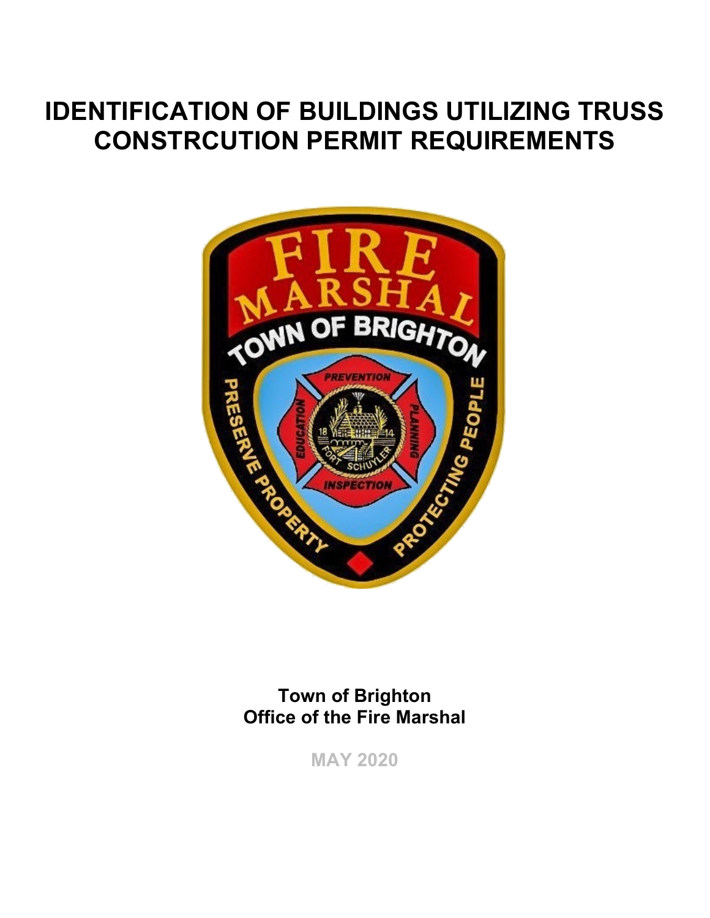# **IDENTIFICATION OF BUILDINGS UTILIZING TRUSS CONSTRCUTION PERMIT REQUIREMENTS**



**Town of Brighton Office of the Fire Marshal** 

**MAY 2020**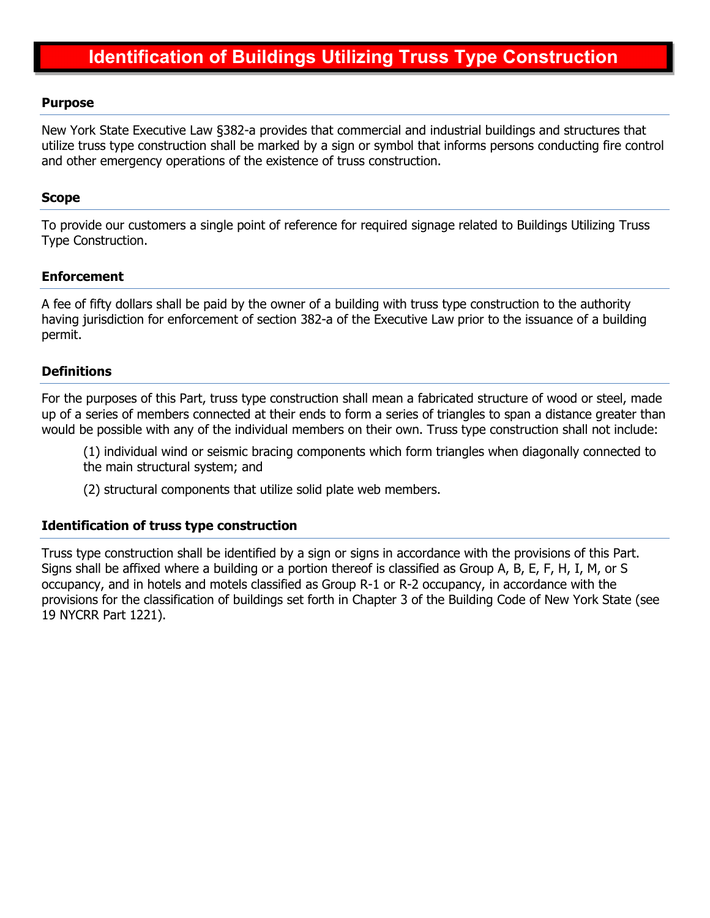## **Identification of Buildings Utilizing Truss Type Construction**

#### **Purpose**

New York State Executive Law §382-a provides that commercial and industrial buildings and structures that utilize truss type construction shall be marked by a sign or symbol that informs persons conducting fire control and other emergency operations of the existence of truss construction.

#### **Scope**

To provide our customers a single point of reference for required signage related to Buildings Utilizing Truss Type Construction.

#### **Enforcement**

A fee of fifty dollars shall be paid by the owner of a building with truss type construction to the authority having jurisdiction for enforcement of section 382-a of the Executive Law prior to the issuance of a building permit.

#### **Definitions**

For the purposes of this Part, truss type construction shall mean a fabricated structure of wood or steel, made up of a series of members connected at their ends to form a series of triangles to span a distance greater than would be possible with any of the individual members on their own. Truss type construction shall not include:

(1) individual wind or seismic bracing components which form triangles when diagonally connected to the main structural system; and

(2) structural components that utilize solid plate web members.

#### **Identification of truss type construction**

Truss type construction shall be identified by a sign or signs in accordance with the provisions of this Part. Signs shall be affixed where a building or a portion thereof is classified as Group A, B, E, F, H, I, M, or S occupancy, and in hotels and motels classified as Group R-1 or R-2 occupancy, in accordance with the provisions for the classification of buildings set forth in Chapter 3 of the Building Code of New York State (see 19 NYCRR Part 1221).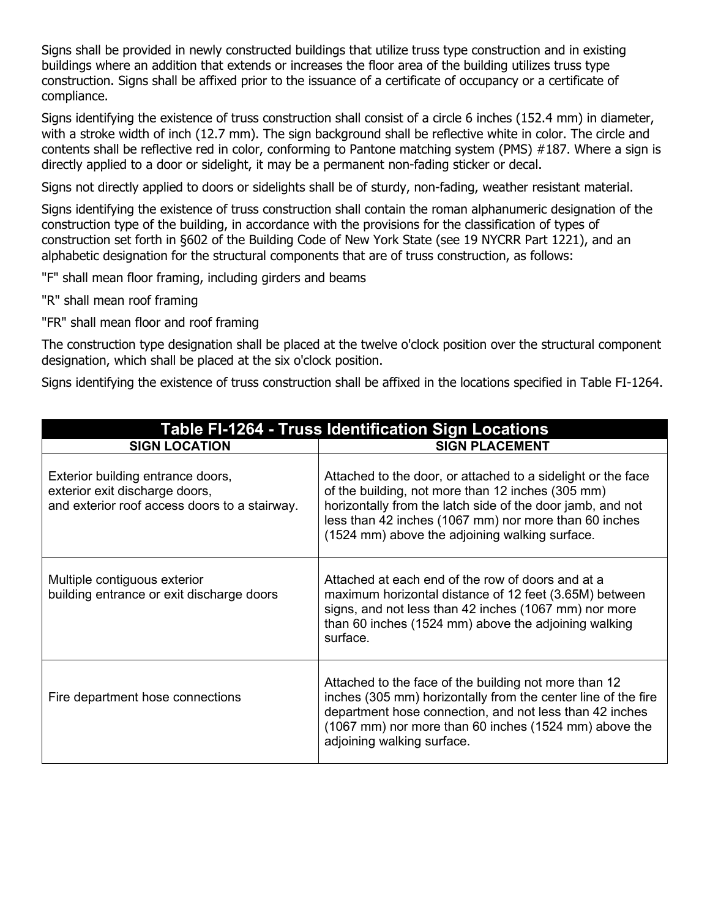Signs shall be provided in newly constructed buildings that utilize truss type construction and in existing buildings where an addition that extends or increases the floor area of the building utilizes truss type construction. Signs shall be affixed prior to the issuance of a certificate of occupancy or a certificate of compliance.

Signs identifying the existence of truss construction shall consist of a circle 6 inches (152.4 mm) in diameter, with a stroke width of inch (12.7 mm). The sign background shall be reflective white in color. The circle and contents shall be reflective red in color, conforming to Pantone matching system (PMS) #187. Where a sign is directly applied to a door or sidelight, it may be a permanent non-fading sticker or decal.

Signs not directly applied to doors or sidelights shall be of sturdy, non-fading, weather resistant material.

Signs identifying the existence of truss construction shall contain the roman alphanumeric designation of the construction type of the building, in accordance with the provisions for the classification of types of construction set forth in §602 of the Building Code of New York State (see 19 NYCRR Part 1221), and an alphabetic designation for the structural components that are of truss construction, as follows:

"F" shall mean floor framing, including girders and beams

"R" shall mean roof framing

"FR" shall mean floor and roof framing

The construction type designation shall be placed at the twelve o'clock position over the structural component designation, which shall be placed at the six o'clock position.

Signs identifying the existence of truss construction shall be affixed in the locations specified in Table FI-1264.

| <b>Table FI-1264 - Truss Identification Sign Locations</b>                                                           |                                                                                                                                                                                                                                                                                            |
|----------------------------------------------------------------------------------------------------------------------|--------------------------------------------------------------------------------------------------------------------------------------------------------------------------------------------------------------------------------------------------------------------------------------------|
| <b>SIGN LOCATION</b>                                                                                                 | <b>SIGN PLACEMENT</b>                                                                                                                                                                                                                                                                      |
| Exterior building entrance doors,<br>exterior exit discharge doors,<br>and exterior roof access doors to a stairway. | Attached to the door, or attached to a sidelight or the face<br>of the building, not more than 12 inches (305 mm)<br>horizontally from the latch side of the door jamb, and not<br>less than 42 inches (1067 mm) nor more than 60 inches<br>(1524 mm) above the adjoining walking surface. |
| Multiple contiguous exterior<br>building entrance or exit discharge doors                                            | Attached at each end of the row of doors and at a<br>maximum horizontal distance of 12 feet (3.65M) between<br>signs, and not less than 42 inches (1067 mm) nor more<br>than 60 inches (1524 mm) above the adjoining walking<br>surface.                                                   |
| Fire department hose connections                                                                                     | Attached to the face of the building not more than 12<br>inches (305 mm) horizontally from the center line of the fire<br>department hose connection, and not less than 42 inches<br>(1067 mm) nor more than 60 inches (1524 mm) above the<br>adjoining walking surface.                   |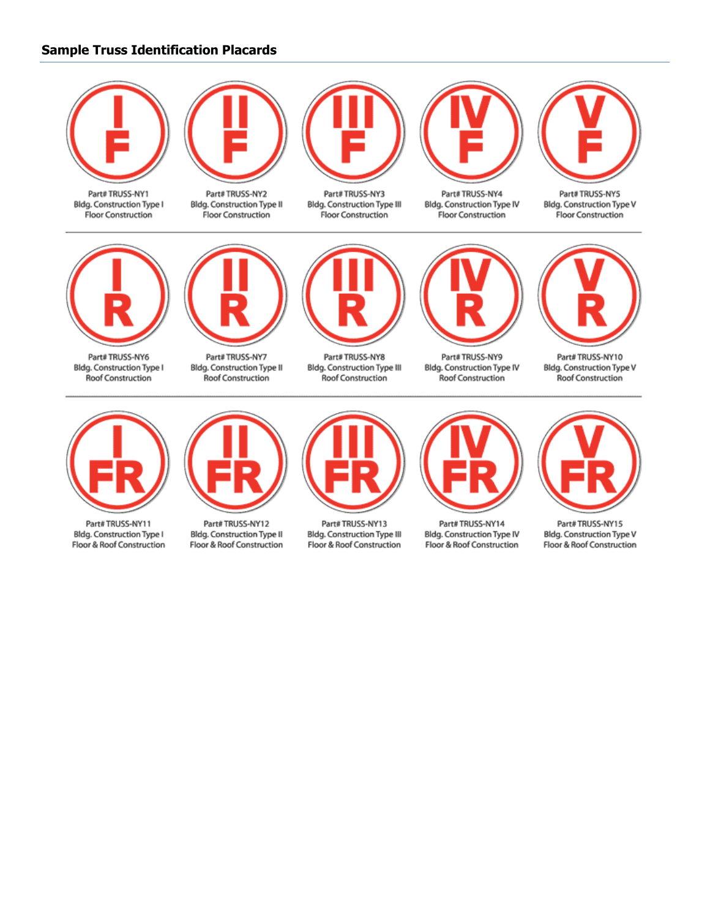### **Sample Truss Identification Placards**





Part#TRUSS-NY11 Bldg. Construction Type I Floor & Roof Construction





Part#TRUSS-NY12 Bldg. Construction Type II Floor & Roof Construction



Part#TRUSS-NY13 Bldg. Construction Type III Floor & Roof Construction



Part#TRUSS-NY14 Bldg. Construction Type IV Floor & Roof Construction



Part#TRUSS-NY15 Bldg. Construction Type V Floor & Roof Construction